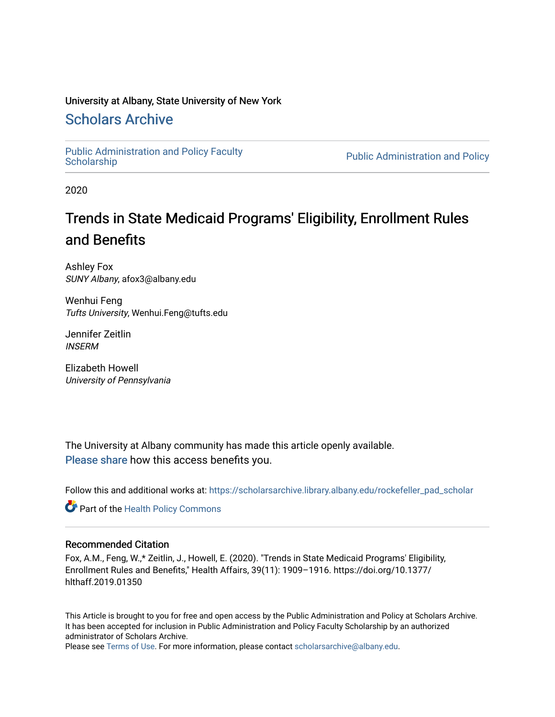# University at Albany, State University of New York

# [Scholars Archive](https://scholarsarchive.library.albany.edu/)

[Public Administration and Policy Faculty](https://scholarsarchive.library.albany.edu/rockefeller_pad_scholar) 

Public Administration and Policy

2020

# Trends in State Medicaid Programs' Eligibility, Enrollment Rules and Benefits

Ashley Fox SUNY Albany, afox3@albany.edu

Wenhui Feng Tufts University, Wenhui.Feng@tufts.edu

Jennifer Zeitlin INSERM

Elizabeth Howell University of Pennsylvania

The University at Albany community has made this article openly available. [Please share](https://albany.libwizard.com/f/open-access-feedback) how this access benefits you.

Follow this and additional works at: [https://scholarsarchive.library.albany.edu/rockefeller\\_pad\\_scholar](https://scholarsarchive.library.albany.edu/rockefeller_pad_scholar?utm_source=scholarsarchive.library.albany.edu%2Frockefeller_pad_scholar%2F11&utm_medium=PDF&utm_campaign=PDFCoverPages)

Part of the [Health Policy Commons](https://network.bepress.com/hgg/discipline/395?utm_source=scholarsarchive.library.albany.edu%2Frockefeller_pad_scholar%2F11&utm_medium=PDF&utm_campaign=PDFCoverPages)

## Recommended Citation

Fox, A.M., Feng, W.,\* Zeitlin, J., Howell, E. (2020). "Trends in State Medicaid Programs' Eligibility, Enrollment Rules and Benefits," Health Affairs, 39(11): 1909–1916. https://doi.org/10.1377/ hlthaff.2019.01350

This Article is brought to you for free and open access by the Public Administration and Policy at Scholars Archive. It has been accepted for inclusion in Public Administration and Policy Faculty Scholarship by an authorized administrator of Scholars Archive.

Please see [Terms of Use.](https://scholarsarchive.library.albany.edu/terms_of_use.html) For more information, please contact [scholarsarchive@albany.edu](mailto:scholarsarchive@albany.edu).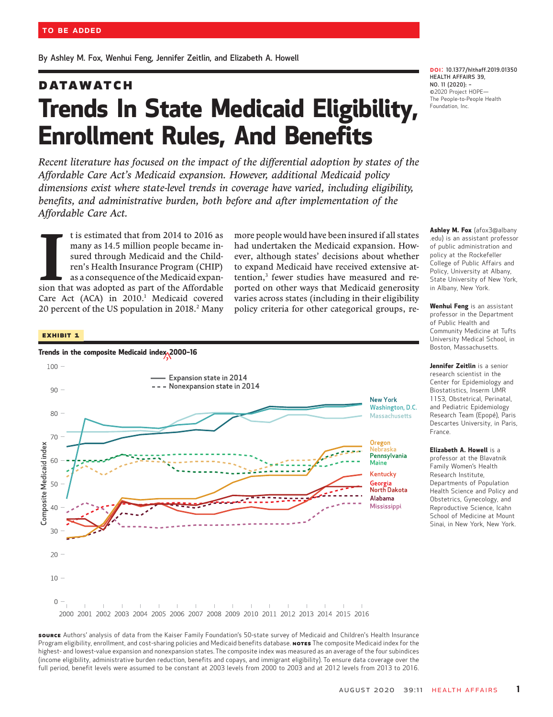By Ashley M. Fox, Wenhui Feng, Jennifer Zeitlin, and Elizabeth A. Howell

# **DATAWATCH** Trends In State Medicaid Eligibility, Enrollment Rules, And Benefits

Recent literature has focused on the impact of the differential adoption by states of the Affordable Care Act's Medicaid expansion. However, additional Medicaid policy dimensions exist where state-level trends in coverage have varied, including eligibility, benefits, and administrative burden, both before and after implementation of the Affordable Care Act.

 $\overline{\phantom{a}}$ t is estimated that from 2014 to 2016 as many as 14.5 million people became insured through Medicaid and the Children's Health Insurance Program (CHIP) as a consequence of the Medicaid expansion that was adopted as part of the Affordable Care Act (ACA) in 2010.<sup>1</sup> Medicaid covered 20 percent of the US population in 2018.<sup>2</sup> Many

more people would have been insured if all states had undertaken the Medicaid expansion. However, although states' decisions about whether to expand Medicaid have received extensive attention,<sup>3</sup> fewer studies have measured and reported on other ways that Medicaid generosity varies across states (including in their eligibility policy criteria for other categorical groups, re-

#### Exhibit 1



DOI: 10.1377/hlthaff.2019.01350 HEALTH AFFAIRS 39, <mark>DOI:</mark> 10.1377/h<br>HEALTH AFFAIR<br>NO. 11 (2020): -NO. 11 (2020): -<br>©2020 Project HOPE— The People-to-People Health Foundation, Inc.

Ashley M. Fox (afox3@albany .edu) is an assistant professor of public administration and policy at the Rockefeller College of Public Affairs and Policy, University at Albany, State University of New York, in Albany, New York.

Wenhui Feng is an assistant professor in the Department of Public Health and Community Medicine at Tufts University Medical School, in Boston, Massachusetts.

Jennifer Zeitlin is a senior research scientist in the Center for Epidemiology and Biostatistics, Inserm UMR 1153, Obstetrical, Perinatal, and Pediatric Epidemiology Research Team (Epopé), Paris Descartes University, in Paris, France.

Elizabeth A. Howell is a **Euzabeth A. Howeu** is a<br>professor at the Blavatnik<br>Family Women's Health Research Institute, Departments of Population Health Science and Policy and Obstetrics, Gynecology, and Reproductive Science, Icahn School of Medicine at Mount Sinai, in New York, New York.

source Authors' analysis of data from the Kaiser Family Foundation's 50-state survey of Medicaid and Children's Health Insurance Program eligibility, enrollment, and cost-sharing policies and Medicaid benefits database. NoTES The composite Medicaid index for the highest- and lowest-value expansion and nonexpansion states. The composite index was measured as an average of the four subindices (income eligibility, administrative burden reduction, benefits and copays, and immigrant eligibility). To ensure data coverage over the full period, benefit levels were assumed to be constant at 2003 levels from 2000 to 2003 and at 2012 levels from 2013 to 2016.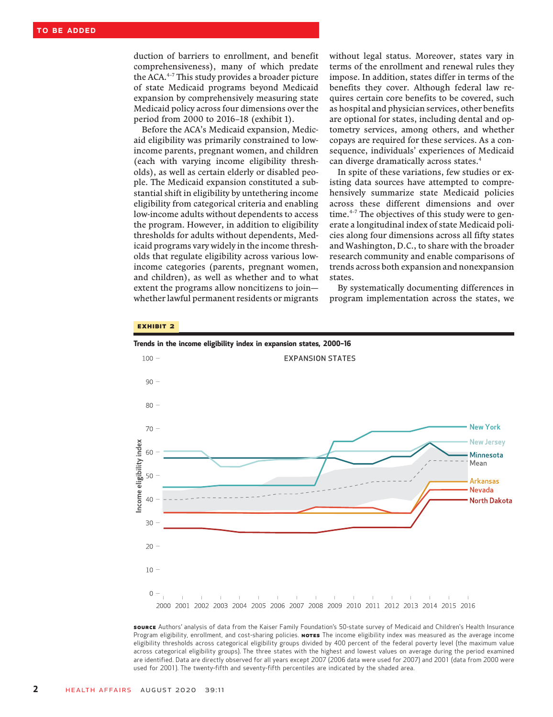duction of barriers to enrollment, and benefit comprehensiveness), many of which predate the ACA.<sup>4-7</sup> This study provides a broader picture of state Medicaid programs beyond Medicaid expansion by comprehensively measuring state Medicaid policy across four dimensions over the period from 2000 to 2016–18 (exhibit 1).

Before the ACA's Medicaid expansion, Medicaid eligibility was primarily constrained to lowincome parents, pregnant women, and children (each with varying income eligibility thresholds), as well as certain elderly or disabled people. The Medicaid expansion constituted a substantial shift in eligibility by untethering income eligibility from categorical criteria and enabling low-income adults without dependents to access the program. However, in addition to eligibility thresholds for adults without dependents, Medicaid programs vary widely in the income thresholds that regulate eligibility across various lowincome categories (parents, pregnant women, and children), as well as whether and to what extent the programs allow noncitizens to join whether lawful permanent residents or migrants without legal status. Moreover, states vary in terms of the enrollment and renewal rules they impose. In addition, states differ in terms of the benefits they cover. Although federal law requires certain core benefits to be covered, such as hospital and physician services, other benefits are optional for states, including dental and optometry services, among others, and whether copays are required for these services. As a consequence, individuals' experiences of Medicaid can diverge dramatically across states.<sup>4</sup>

In spite of these variations, few studies or existing data sources have attempted to comprehensively summarize state Medicaid policies across these different dimensions and over time. $4-7$  The objectives of this study were to generate a longitudinal index of state Medicaid policies along four dimensions across all fifty states and Washington, D.C., to share with the broader research community and enable comparisons of trends across both expansion and nonexpansion states.

By systematically documenting differences in program implementation across the states, we

#### EXHIBIT 2



source Authors' analysis of data from the Kaiser Family Foundation's 50-state survey of Medicaid and Children's Health Insurance Program eligibility, enrollment, and cost-sharing policies. NoTES The income eligibility index was measured as the average income eligibility thresholds across categorical eligibility groups divided by 400 percent of the federal poverty level (the maximum value across categorical eligibility groups). The three states with the highest and lowest values on average during the period examined are identified. Data are directly observed for all years except 2007 (2006 data were used for 2007) and 2001 (data from 2000 were used for 2001). The twenty-fifth and seventy-fifth percentiles are indicated by the shaded area.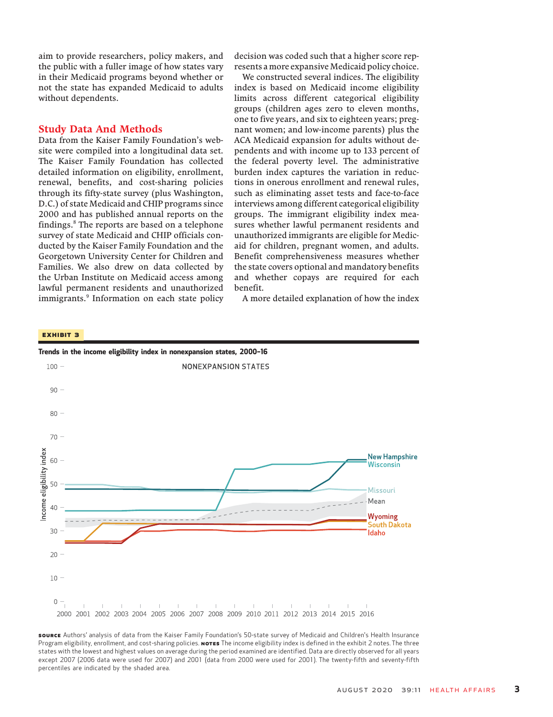aim to provide researchers, policy makers, and the public with a fuller image of how states vary in their Medicaid programs beyond whether or not the state has expanded Medicaid to adults without dependents.

### Study Data And Methods

Data from the Kaiser Family Foundation's website were compiled into a longitudinal data set. The Kaiser Family Foundation has collected detailed information on eligibility, enrollment, renewal, benefits, and cost-sharing policies through its fifty-state survey (plus Washington, D.C.) of state Medicaid and CHIP programs since 2000 and has published annual reports on the findings.8 The reports are based on a telephone survey of state Medicaid and CHIP officials conducted by the Kaiser Family Foundation and the Georgetown University Center for Children and Families. We also drew on data collected by the Urban Institute on Medicaid access among lawful permanent residents and unauthorized immigrants.<sup>9</sup> Information on each state policy

decision was coded such that a higher score represents a more expansive Medicaid policy choice.

We constructed several indices. The eligibility index is based on Medicaid income eligibility limits across different categorical eligibility groups (children ages zero to eleven months, one to five years, and six to eighteen years; pregnant women; and low-income parents) plus the ACA Medicaid expansion for adults without dependents and with income up to 133 percent of the federal poverty level. The administrative burden index captures the variation in reductions in onerous enrollment and renewal rules, such as eliminating asset tests and face-to-face interviews among different categorical eligibility groups. The immigrant eligibility index measures whether lawful permanent residents and unauthorized immigrants are eligible for Medicaid for children, pregnant women, and adults. Benefit comprehensiveness measures whether the state covers optional and mandatory benefits and whether copays are required for each benefit.

A more detailed explanation of how the index

#### Exhibit 3



source Authors' analysis of data from the Kaiser Family Foundation's 50-state survey of Medicaid and Children's Health Insurance Program eligibility, enrollment, and cost-sharing policies. Norss The income eligibility index is defined in the exhibit 2 notes. The three states with the lowest and highest values on average during the period examined are identified. Data are directly observed for all years except 2007 (2006 data were used for 2007) and 2001 (data from 2000 were used for 2001). The twenty-fifth and seventy-fifth percentiles are indicated by the shaded area.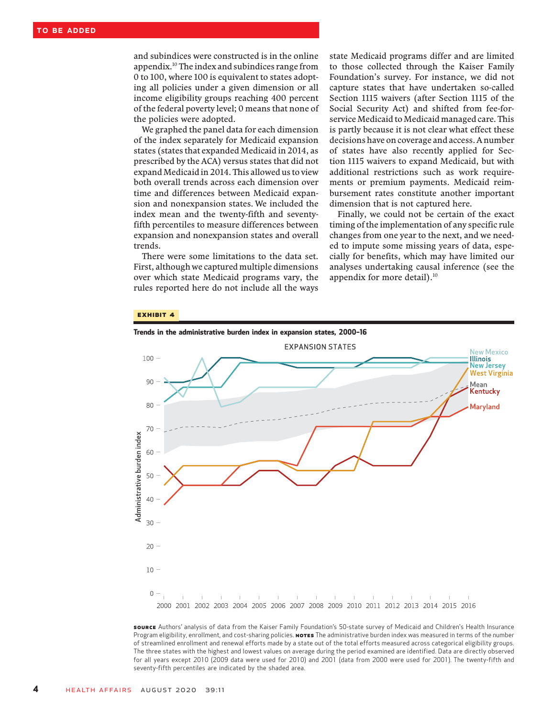and subindices were constructed is in the online appendix.10 The index and subindices range from 0 to 100, where 100 is equivalent to states adopting all policies under a given dimension or all income eligibility groups reaching 400 percent of the federal poverty level; 0 means that none of the policies were adopted.

We graphed the panel data for each dimension of the index separately for Medicaid expansion states (states that expanded Medicaid in 2014, as prescribed by the ACA) versus states that did not expand Medicaid in 2014. This allowed us to view both overall trends across each dimension over time and differences between Medicaid expansion and nonexpansion states. We included the index mean and the twenty-fifth and seventyfifth percentiles to measure differences between expansion and nonexpansion states and overall trends.

There were some limitations to the data set. First, although we captured multiple dimensions over which state Medicaid programs vary, the rules reported here do not include all the ways state Medicaid programs differ and are limited to those collected through the Kaiser Family Foundation's survey. For instance, we did not capture states that have undertaken so-called Section 1115 waivers (after Section 1115 of the Social Security Act) and shifted from fee-forservice Medicaid to Medicaid managed care. This is partly because it is not clear what effect these decisions have on coverage and access. A number of states have also recently applied for Section 1115 waivers to expand Medicaid, but with additional restrictions such as work requirements or premium payments. Medicaid reimbursement rates constitute another important dimension that is not captured here.

Finally, we could not be certain of the exact timing of the implementation of any specific rule changes from one year to the next, and we needed to impute some missing years of data, especially for benefits, which may have limited our analyses undertaking causal inference (see the appendix for more detail). $^{10}$ 

#### Exhibit 4



source Authors' analysis of data from the Kaiser Family Foundation's 50-state survey of Medicaid and Children's Health Insurance Program eligibility, enrollment, and cost-sharing policies. **NOTES** The administrative burden index was measured in terms of the number of streamlined enrollment and renewal efforts made by a state out of the total efforts measured across categorical eligibility groups. The three states with the highest and lowest values on average during the period examined are identified. Data are directly observed for all years except 2010 (2009 data were used for 2010) and 2001 (data from 2000 were used for 2001). The twenty-fifth and seventy-fifth percentiles are indicated by the shaded area.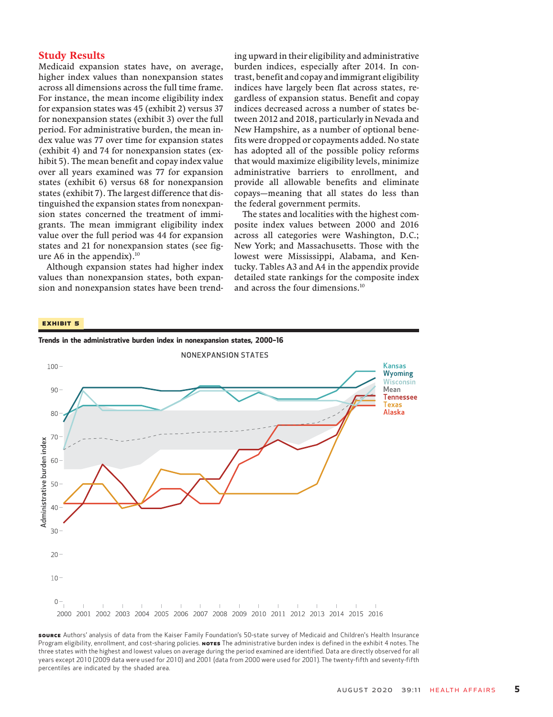## Study Results

Medicaid expansion states have, on average, higher index values than nonexpansion states across all dimensions across the full time frame. For instance, the mean income eligibility index for expansion states was 45 (exhibit 2) versus 37 for nonexpansion states (exhibit 3) over the full period. For administrative burden, the mean index value was 77 over time for expansion states (exhibit 4) and 74 for nonexpansion states (exhibit 5). The mean benefit and copay index value over all years examined was 77 for expansion states (exhibit 6) versus 68 for nonexpansion states (exhibit 7). The largest difference that distinguished the expansion states from nonexpansion states concerned the treatment of immigrants. The mean immigrant eligibility index value over the full period was 44 for expansion states and 21 for nonexpansion states (see figure A6 in the appendix). $^{10}$ 

Although expansion states had higher index values than nonexpansion states, both expansion and nonexpansion states have been trending upward in their eligibility and administrative burden indices, especially after 2014. In contrast, benefit and copay and immigrant eligibility indices have largely been flat across states, regardless of expansion status. Benefit and copay indices decreased across a number of states between 2012 and 2018, particularly in Nevada and New Hampshire, as a number of optional benefits were dropped or copayments added. No state has adopted all of the possible policy reforms that would maximize eligibility levels, minimize administrative barriers to enrollment, and provide all allowable benefits and eliminate copays—meaning that all states do less than the federal government permits.

The states and localities with the highest composite index values between 2000 and 2016 across all categories were Washington, D.C.; New York; and Massachusetts. Those with the lowest were Mississippi, Alabama, and Kentucky. Tables A3 and A4 in the appendix provide detailed state rankings for the composite index and across the four dimensions.<sup>10</sup>

#### Exhibit 5



source Authors' analysis of data from the Kaiser Family Foundation's 50-state survey of Medicaid and Children's Health Insurance Program eligibility, enrollment, and cost-sharing policies. NoTES The administrative burden index is defined in the exhibit 4 notes. The three states with the highest and lowest values on average during the period examined are identified. Data are directly observed for all years except 2010 (2009 data were used for 2010) and 2001 (data from 2000 were used for 2001). The twenty-fifth and seventy-fifth percentiles are indicated by the shaded area.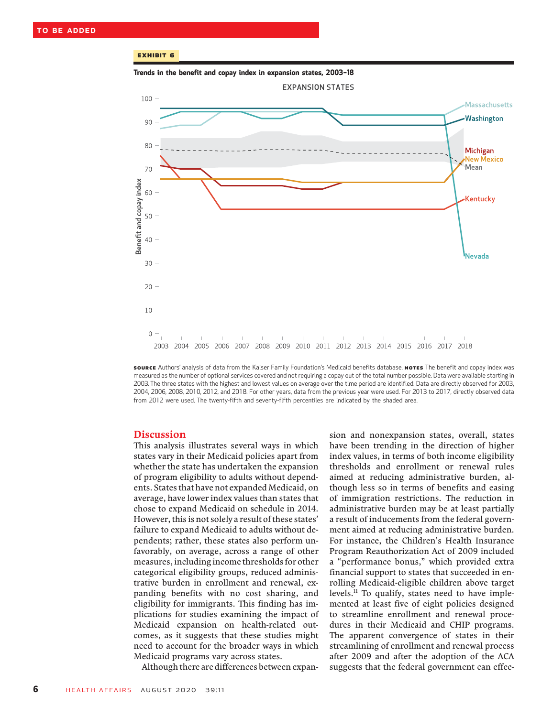#### Exhibit 6

Trends in the benefit and copay index in expansion states, 2003–<sup>18</sup>



source Authors' analysis of data from the Kaiser Family Foundation's Medicaid benefits database. NoTES The benefit and copay index was measured as the number of optional services covered and not requiring a copay out of the total number possible. Data were available starting in 2003. The three states with the highest and lowest values on average over the time period are identified. Data are directly observed for 2003, 2004, 2006, 2008, 2010, 2012, and 2018. For other years, data from the previous year were used. For 2013 to 2017, directly observed data from 2012 were used. The twenty-fifth and seventy-fifth percentiles are indicated by the shaded area.

#### Discussion

This analysis illustrates several ways in which states vary in their Medicaid policies apart from whether the state has undertaken the expansion of program eligibility to adults without dependents. States that have not expanded Medicaid, on average, have lower index values than states that chose to expand Medicaid on schedule in 2014. However, this is not solely a result of these states' failure to expand Medicaid to adults without dependents; rather, these states also perform unfavorably, on average, across a range of other measures, including income thresholds for other categorical eligibility groups, reduced administrative burden in enrollment and renewal, expanding benefits with no cost sharing, and eligibility for immigrants. This finding has implications for studies examining the impact of Medicaid expansion on health-related outcomes, as it suggests that these studies might need to account for the broader ways in which Medicaid programs vary across states.

Although there are differences between expan-

sion and nonexpansion states, overall, states have been trending in the direction of higher index values, in terms of both income eligibility thresholds and enrollment or renewal rules aimed at reducing administrative burden, although less so in terms of benefits and easing of immigration restrictions. The reduction in administrative burden may be at least partially a result of inducements from the federal government aimed at reducing administrative burden. For instance, the Children's Health Insurance Program Reauthorization Act of 2009 included a "performance bonus," which provided extra financial support to states that succeeded in enrolling Medicaid-eligible children above target levels.11 To qualify, states need to have implemented at least five of eight policies designed to streamline enrollment and renewal procedures in their Medicaid and CHIP programs. The apparent convergence of states in their streamlining of enrollment and renewal process after 2009 and after the adoption of the ACA suggests that the federal government can effec-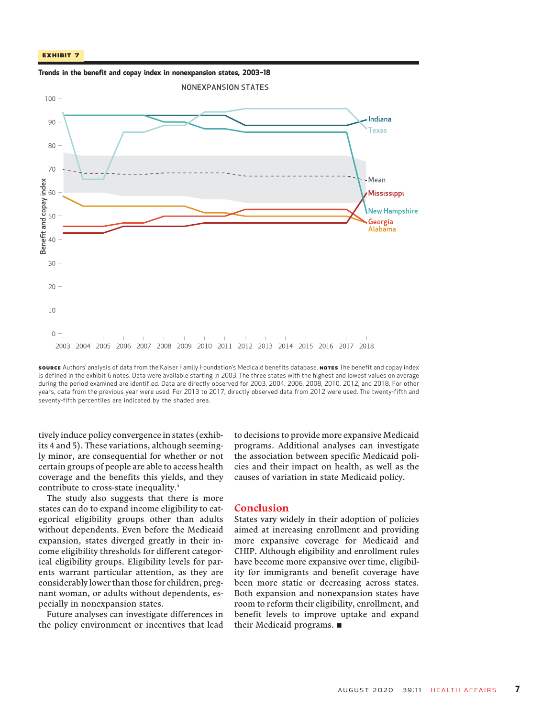



source Authors' analysis of data from the Kaiser Family Foundation's Medicaid benefits database. NoTES The benefit and copay index is defined in the exhibit 6 notes. Data were available starting in 2003. The three states with the highest and lowest values on average during the period examined are identified. Data are directly observed for 2003, 2004, 2006, 2008, 2010, 2012, and 2018. For other years, data from the previous year were used. For 2013 to 2017, directly observed data from 2012 were used. The twenty-fifth and seventy-fifth percentiles are indicated by the shaded area.

tively induce policy convergence in states (exhibits 4 and 5). These variations, although seemingly minor, are consequential for whether or not certain groups of people are able to access health coverage and the benefits this yields, and they contribute to cross-state inequality.<sup>5</sup>

The study also suggests that there is more states can do to expand income eligibility to categorical eligibility groups other than adults without dependents. Even before the Medicaid expansion, states diverged greatly in their income eligibility thresholds for different categorical eligibility groups. Eligibility levels for parents warrant particular attention, as they are considerably lower than those for children, pregnant woman, or adults without dependents, especially in nonexpansion states.

Future analyses can investigate differences in the policy environment or incentives that lead

to decisions to provide more expansive Medicaid programs. Additional analyses can investigate the association between specific Medicaid policies and their impact on health, as well as the causes of variation in state Medicaid policy.

#### Conclusion

States vary widely in their adoption of policies aimed at increasing enrollment and providing more expansive coverage for Medicaid and CHIP. Although eligibility and enrollment rules have become more expansive over time, eligibility for immigrants and benefit coverage have been more static or decreasing across states. Both expansion and nonexpansion states have room to reform their eligibility, enrollment, and benefit levels to improve uptake and expand their Medicaid programs.  $\blacksquare$